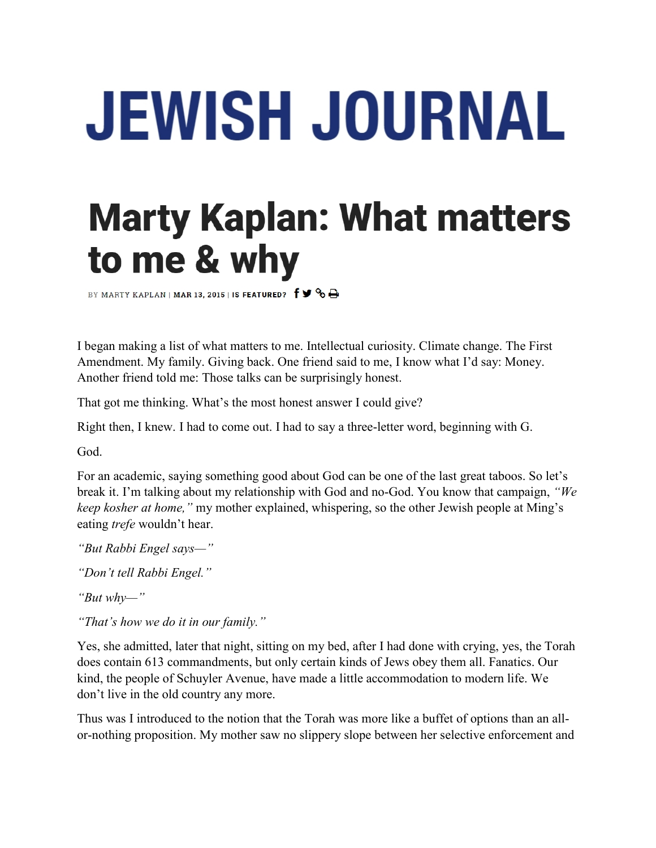## **JEWISH JOURNAL**

## **Marty Kaplan: What matters** to me & why

BY MARTY KAPLAN | MAR 13, 2015 | IS FEATURED?  $f \blacktriangleright$   $\bigcirc$   $\bigoplus$ 

I began making a list of what matters to me. Intellectual curiosity. Climate change. The First Amendment. My family. Giving back. One friend said to me, I know what I'd say: Money. Another friend told me: Those talks can be surprisingly honest.

That got me thinking. What's the most honest answer I could give?

Right then, I knew. I had to come out. I had to say a three-letter word, beginning with G.

God.

For an academic, saying something good about God can be one of the last great taboos. So let's break it. I'm talking about my relationship with God and no-God. You know that campaign, *"We keep kosher at home,"* my mother explained, whispering, so the other Jewish people at Ming's eating *trefe* wouldn't hear.

- *"But Rabbi Engel says—"*
- *"Don't tell Rabbi Engel."*
- *"But why—"*
- *"That's how we do it in our family."*

Yes, she admitted, later that night, sitting on my bed, after I had done with crying, yes, the Torah does contain 613 commandments, but only certain kinds of Jews obey them all. Fanatics. Our kind, the people of Schuyler Avenue, have made a little accommodation to modern life. We don't live in the old country any more.

Thus was I introduced to the notion that the Torah was more like a buffet of options than an allor-nothing proposition. My mother saw no slippery slope between her selective enforcement and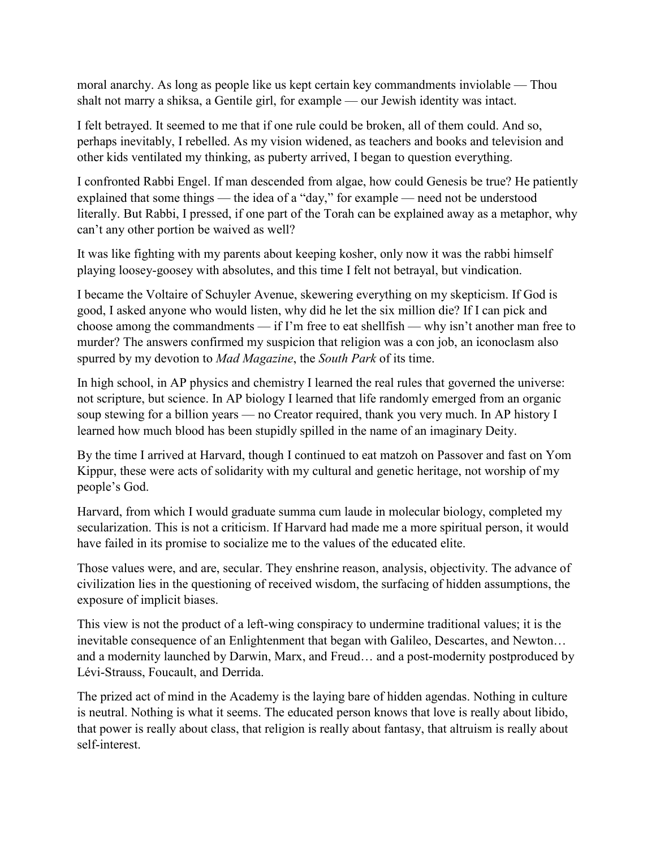moral anarchy. As long as people like us kept certain key commandments inviolable — Thou shalt not marry a shiksa, a Gentile girl, for example — our Jewish identity was intact.

I felt betrayed. It seemed to me that if one rule could be broken, all of them could. And so, perhaps inevitably, I rebelled. As my vision widened, as teachers and books and television and other kids ventilated my thinking, as puberty arrived, I began to question everything.

I confronted Rabbi Engel. If man descended from algae, how could Genesis be true? He patiently explained that some things — the idea of a "day," for example — need not be understood literally. But Rabbi, I pressed, if one part of the Torah can be explained away as a metaphor, why can't any other portion be waived as well?

It was like fighting with my parents about keeping kosher, only now it was the rabbi himself playing loosey-goosey with absolutes, and this time I felt not betrayal, but vindication.

I became the Voltaire of Schuyler Avenue, skewering everything on my skepticism. If God is good, I asked anyone who would listen, why did he let the six million die? If I can pick and choose among the commandments — if I'm free to eat shellfish — why isn't another man free to murder? The answers confirmed my suspicion that religion was a con job, an iconoclasm also spurred by my devotion to *Mad Magazine*, the *South Park* of its time.

In high school, in AP physics and chemistry I learned the real rules that governed the universe: not scripture, but science. In AP biology I learned that life randomly emerged from an organic soup stewing for a billion years — no Creator required, thank you very much. In AP history I learned how much blood has been stupidly spilled in the name of an imaginary Deity.

By the time I arrived at Harvard, though I continued to eat matzoh on Passover and fast on Yom Kippur, these were acts of solidarity with my cultural and genetic heritage, not worship of my people's God.

Harvard, from which I would graduate summa cum laude in molecular biology, completed my secularization. This is not a criticism. If Harvard had made me a more spiritual person, it would have failed in its promise to socialize me to the values of the educated elite.

Those values were, and are, secular. They enshrine reason, analysis, objectivity. The advance of civilization lies in the questioning of received wisdom, the surfacing of hidden assumptions, the exposure of implicit biases.

This view is not the product of a left-wing conspiracy to undermine traditional values; it is the inevitable consequence of an Enlightenment that began with Galileo, Descartes, and Newton… and a modernity launched by Darwin, Marx, and Freud… and a post-modernity postproduced by Lévi-Strauss, Foucault, and Derrida.

The prized act of mind in the Academy is the laying bare of hidden agendas. Nothing in culture is neutral. Nothing is what it seems. The educated person knows that love is really about libido, that power is really about class, that religion is really about fantasy, that altruism is really about self-interest.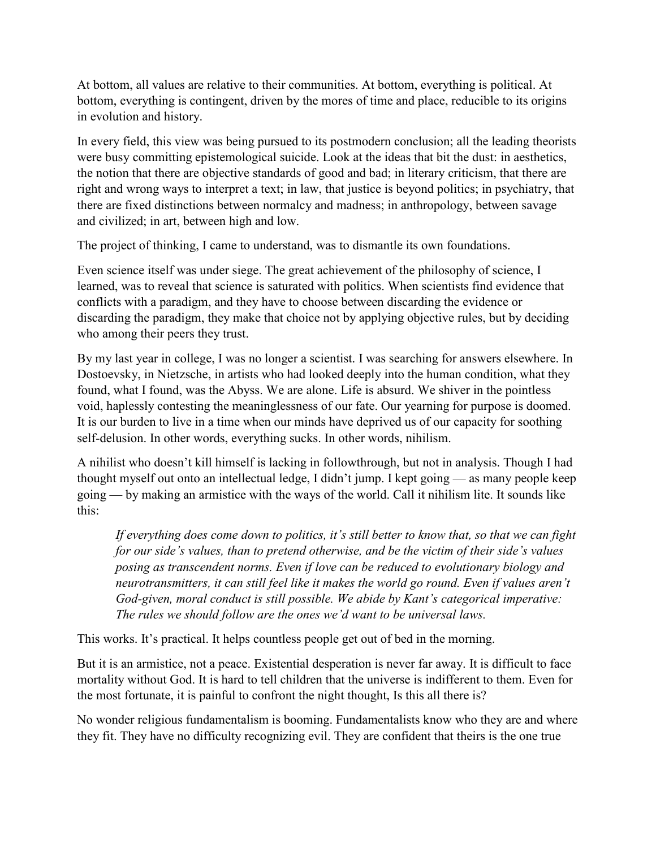At bottom, all values are relative to their communities. At bottom, everything is political. At bottom, everything is contingent, driven by the mores of time and place, reducible to its origins in evolution and history.

In every field, this view was being pursued to its postmodern conclusion; all the leading theorists were busy committing epistemological suicide. Look at the ideas that bit the dust: in aesthetics, the notion that there are objective standards of good and bad; in literary criticism, that there are right and wrong ways to interpret a text; in law, that justice is beyond politics; in psychiatry, that there are fixed distinctions between normalcy and madness; in anthropology, between savage and civilized; in art, between high and low.

The project of thinking, I came to understand, was to dismantle its own foundations.

Even science itself was under siege. The great achievement of the philosophy of science, I learned, was to reveal that science is saturated with politics. When scientists find evidence that conflicts with a paradigm, and they have to choose between discarding the evidence or discarding the paradigm, they make that choice not by applying objective rules, but by deciding who among their peers they trust.

By my last year in college, I was no longer a scientist. I was searching for answers elsewhere. In Dostoevsky, in Nietzsche, in artists who had looked deeply into the human condition, what they found, what I found, was the Abyss. We are alone. Life is absurd. We shiver in the pointless void, haplessly contesting the meaninglessness of our fate. Our yearning for purpose is doomed. It is our burden to live in a time when our minds have deprived us of our capacity for soothing self-delusion. In other words, everything sucks. In other words, nihilism.

A nihilist who doesn't kill himself is lacking in followthrough, but not in analysis. Though I had thought myself out onto an intellectual ledge, I didn't jump. I kept going — as many people keep going — by making an armistice with the ways of the world. Call it nihilism lite. It sounds like this:

*If everything does come down to politics, it's still better to know that, so that we can fight for our side's values, than to pretend otherwise, and be the victim of their side's values posing as transcendent norms. Even if love can be reduced to evolutionary biology and neurotransmitters, it can still feel like it makes the world go round. Even if values aren't God-given, moral conduct is still possible. We abide by Kant's categorical imperative: The rules we should follow are the ones we'd want to be universal laws.*

This works. It's practical. It helps countless people get out of bed in the morning.

But it is an armistice, not a peace. Existential desperation is never far away. It is difficult to face mortality without God. It is hard to tell children that the universe is indifferent to them. Even for the most fortunate, it is painful to confront the night thought, Is this all there is?

No wonder religious fundamentalism is booming. Fundamentalists know who they are and where they fit. They have no difficulty recognizing evil. They are confident that theirs is the one true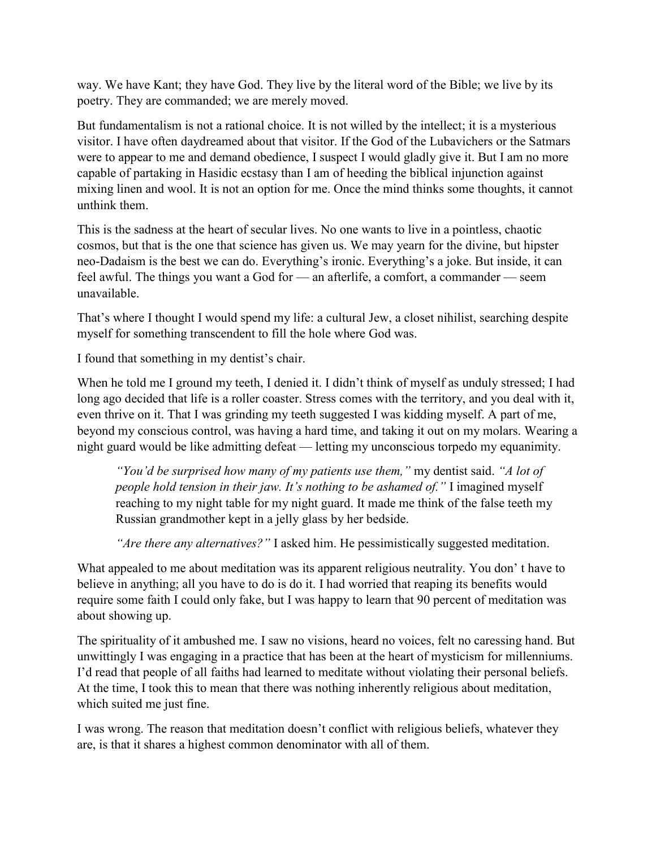way. We have Kant; they have God. They live by the literal word of the Bible; we live by its poetry. They are commanded; we are merely moved.

But fundamentalism is not a rational choice. It is not willed by the intellect; it is a mysterious visitor. I have often daydreamed about that visitor. If the God of the Lubavichers or the Satmars were to appear to me and demand obedience, I suspect I would gladly give it. But I am no more capable of partaking in Hasidic ecstasy than I am of heeding the biblical injunction against mixing linen and wool. It is not an option for me. Once the mind thinks some thoughts, it cannot unthink them.

This is the sadness at the heart of secular lives. No one wants to live in a pointless, chaotic cosmos, but that is the one that science has given us. We may yearn for the divine, but hipster neo-Dadaism is the best we can do. Everything's ironic. Everything's a joke. But inside, it can feel awful. The things you want a God for — an afterlife, a comfort, a commander — seem unavailable.

That's where I thought I would spend my life: a cultural Jew, a closet nihilist, searching despite myself for something transcendent to fill the hole where God was.

I found that something in my dentist's chair.

When he told me I ground my teeth, I denied it. I didn't think of myself as unduly stressed; I had long ago decided that life is a roller coaster. Stress comes with the territory, and you deal with it, even thrive on it. That I was grinding my teeth suggested I was kidding myself. A part of me, beyond my conscious control, was having a hard time, and taking it out on my molars. Wearing a night guard would be like admitting defeat — letting my unconscious torpedo my equanimity.

*"You'd be surprised how many of my patients use them,"* my dentist said. *"A lot of people hold tension in their jaw. It's nothing to be ashamed of."* I imagined myself reaching to my night table for my night guard. It made me think of the false teeth my Russian grandmother kept in a jelly glass by her bedside.

*"Are there any alternatives?"* I asked him. He pessimistically suggested meditation.

What appealed to me about meditation was its apparent religious neutrality. You don' t have to believe in anything; all you have to do is do it. I had worried that reaping its benefits would require some faith I could only fake, but I was happy to learn that 90 percent of meditation was about showing up.

The spirituality of it ambushed me. I saw no visions, heard no voices, felt no caressing hand. But unwittingly I was engaging in a practice that has been at the heart of mysticism for millenniums. I'd read that people of all faiths had learned to meditate without violating their personal beliefs. At the time, I took this to mean that there was nothing inherently religious about meditation, which suited me just fine.

I was wrong. The reason that meditation doesn't conflict with religious beliefs, whatever they are, is that it shares a highest common denominator with all of them.